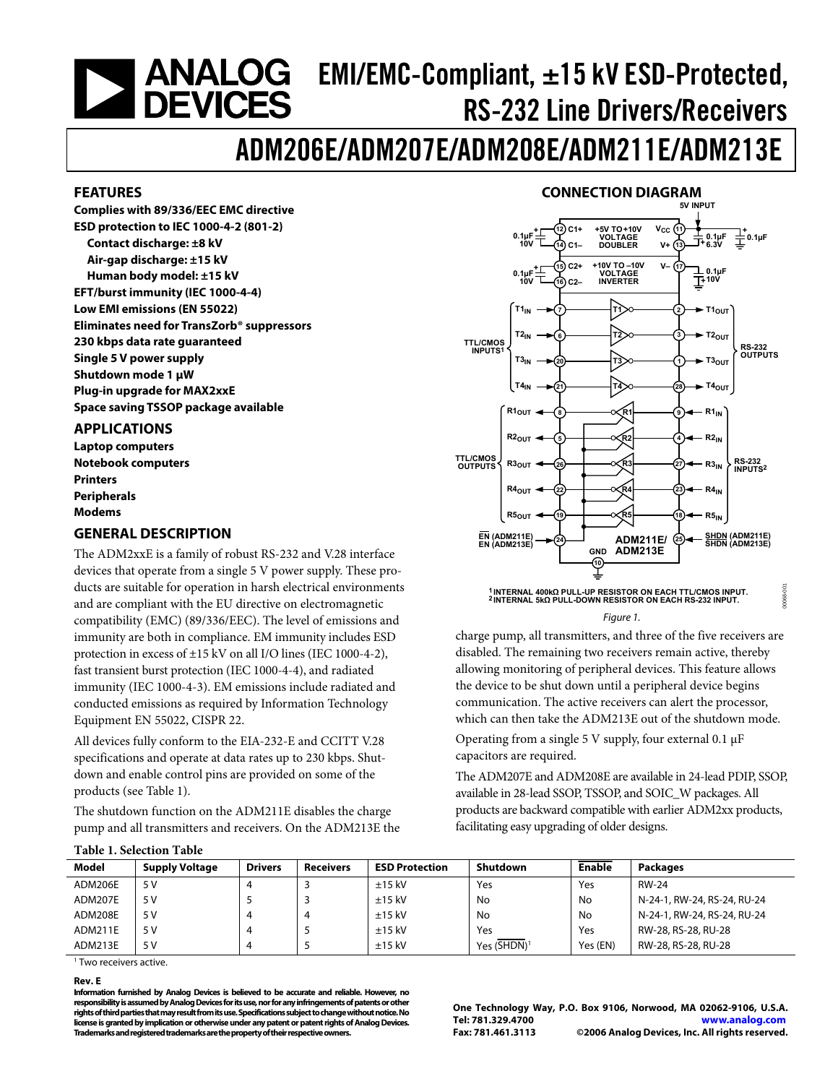# <span id="page-0-0"></span> $EMI/EMC-Compliant,  $\pm 15$  kV ESD-Protocol,$ RS-232 Line Drivers/Receivers

# ADM206E/ADM207E/ADM208E/ADM211E/ADM213E

#### **FEATURES**

**Complies with 89/336/EEC EMC directive ESD protection to IEC 1000-4-2 (801-2) Contact discharge: ±8 kV Air-gap discharge: ±15 kV Human body model: ±15 kV EFT/burst immunity (IEC 1000-4-4) Low EMI emissions (EN 55022) Eliminates need for TransZorb® suppressors 230 kbps data rate guaranteed Single 5 V power supply Shutdown mode 1 μW Plug-in upgrade for MAX2xxE Space saving TSSOP package available** 

#### **APPLICATIONS**

**Laptop computers Notebook computers Printers Peripherals Modems** 

#### **GENERAL DESCRIPTION**

The ADM2xxE is a family of robust RS-232 and V.28 interface devices that operate from a single 5 V power supply. These products are suitable for operation in harsh electrical environments and are compliant with the EU directive on electromagnetic compatibility (EMC) (89/336/EEC). The level of emissions and immunity are both in compliance. EM immunity includes ESD protection in excess of ±15 kV on all I/O lines (IEC 1000-4-2), fast transient burst protection (IEC 1000-4-4), and radiated immunity (IEC 1000-4-3). EM emissions include radiated and conducted emissions as required by Information Technology Equipment EN 55022, CISPR 22.

All devices fully conform to the EIA-232-E and CCITT V.28 specifications and operate at data rates up to 230 kbps. Shutdown and enable control pins are provided on some of the products (see Table 1).

The shutdown function on the ADM211E disables the charge pump and all transmitters and receivers. On the ADM213E the

#### **CONNECTION DIAGRAM**



#### Figure 1.

charge pump, all transmitters, and three of the five receivers are disabled. The remaining two receivers remain active, thereby allowing monitoring of peripheral devices. This feature allows the device to be shut down until a peripheral device begins communication. The active receivers can alert the processor, which can then take the ADM213E out of the shutdown mode.

Operating from a single 5 V supply, four external 0.1 μF capacitors are required.

The ADM207E and ADM208E are available in 24-lead PDIP, SSOP, available in 28-lead SSOP, TSSOP, and SOIC\_W packages. All products are backward compatible with earlier ADM2xx products, facilitating easy upgrading of older designs.

| Model   | <b>Supply Voltage</b> | <b>Drivers</b> | <b>Receivers</b> | <b>ESD Protection</b> | Shutdown                | <b>Enable</b> | <b>Packages</b>             |  |
|---------|-----------------------|----------------|------------------|-----------------------|-------------------------|---------------|-----------------------------|--|
| ADM206E | 5 V                   |                |                  | $±15$ kV              | Yes                     | Yes           | <b>RW-24</b>                |  |
| ADM207E | 5 V                   |                |                  | $±15$ kV              | No                      | No            | N-24-1, RW-24, RS-24, RU-24 |  |
| ADM208E | 5 V                   |                | 4                | $±15$ kV              | No                      | No            | N-24-1, RW-24, RS-24, RU-24 |  |
| ADM211E | 5 V                   |                |                  | $±15$ kV              | Yes                     | Yes           | RW-28, RS-28, RU-28         |  |
| ADM213E | 5 V                   |                |                  | $±15$ kV              | Yes (SHDN) <sup>1</sup> | Yes (EN)      | RW-28, RS-28, RU-28         |  |

1 Two receivers active.

**Table 1. Selection Table** 

#### **Rev. E**

**Information furnished by Analog Devices is believed to be accurate and reliable. However, no responsibility is assumed by Analog Devices for its use, nor for any infringements of patents or other rights of third parties that may result from its use. Specifications subject to change without notice. No license is granted by implication or otherwise under any patent or patent rights of Analog Devices. Trademarks and registered trademarks are the property of their respective owners.** 

**One Technology Way, P.O. Box 9106, Norwood, MA 02062-9106, U.S.A. Tel: 781.329.4700 www.analog.com Fax: 781.461.3113 ©2006 Analog Devices, Inc. All rights reserved.**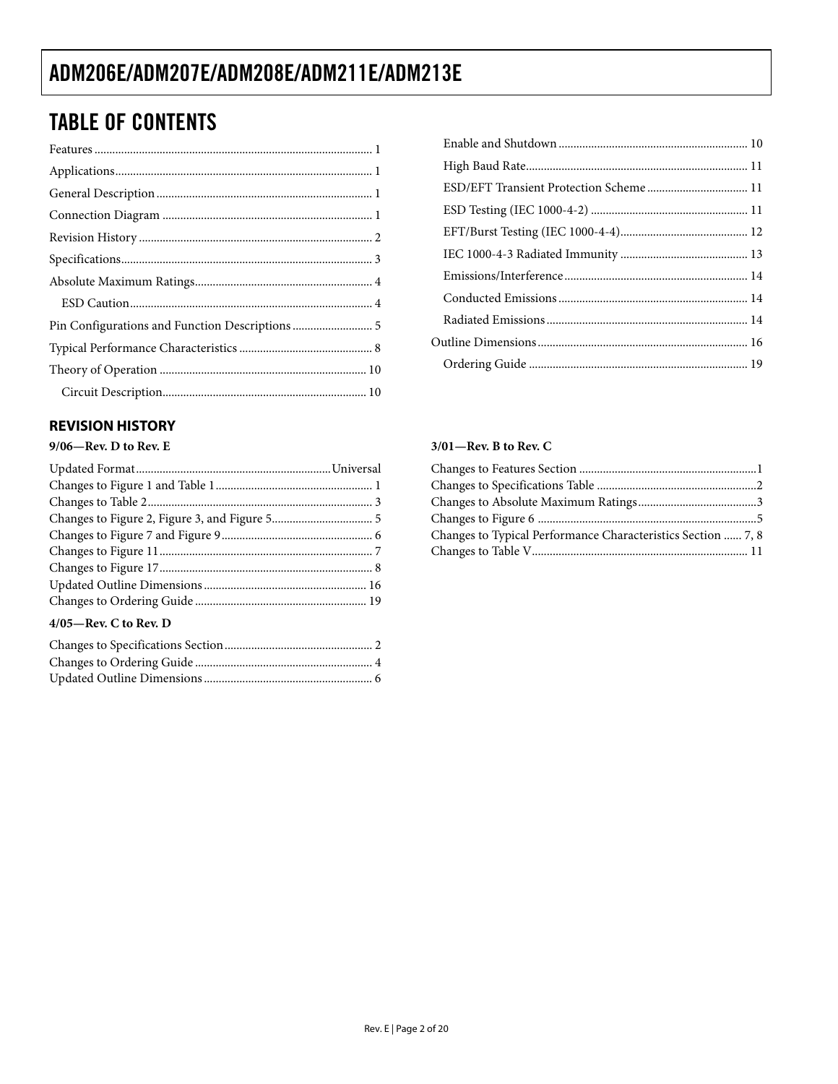# **TABLE OF CONTENTS**

#### **REVISION HISTORY**

#### $9/06$ —Rev. D to Rev. E

#### $4/05$ —Rev. C to Rev. D

| ESD/EFT Transient Protection Scheme 11 |  |
|----------------------------------------|--|
|                                        |  |
|                                        |  |
|                                        |  |
|                                        |  |
|                                        |  |
|                                        |  |
|                                        |  |
|                                        |  |

#### $3/01$ -Rev. B to Rev. C

| Changes to Typical Performance Characteristics Section  7, 8 |  |
|--------------------------------------------------------------|--|
|                                                              |  |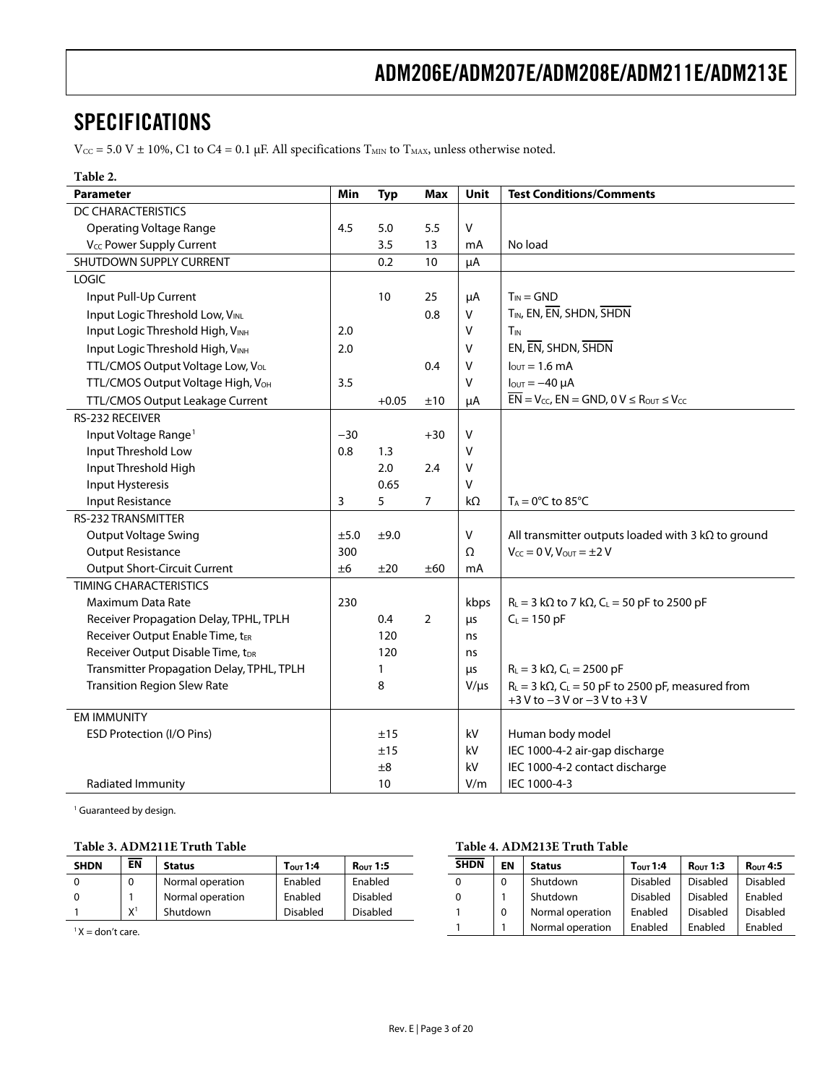### <span id="page-2-0"></span>SPECIFICATIONS

 $V_{CC}$  = 5.0 V ± 10%, C1 to C4 = 0.1 μF. All specifications T<sub>MIN</sub> to T<sub>MAX</sub>, unless otherwise noted.

#### **Table 2.**

| <b>Parameter</b>                              | Min   | <b>Typ</b> | <b>Max</b> | Unit      | <b>Test Conditions/Comments</b>                                                                      |
|-----------------------------------------------|-------|------------|------------|-----------|------------------------------------------------------------------------------------------------------|
| <b>DC CHARACTERISTICS</b>                     |       |            |            |           |                                                                                                      |
| <b>Operating Voltage Range</b>                | 4.5   | 5.0        | 5.5        | V         |                                                                                                      |
| V <sub>CC</sub> Power Supply Current          |       | 3.5        | 13         | mA        | No load                                                                                              |
| SHUTDOWN SUPPLY CURRENT                       |       | 0.2        | 10         | μA        |                                                                                                      |
| LOGIC                                         |       |            |            |           |                                                                                                      |
| Input Pull-Up Current                         |       | 10         | 25         | μA        | $T_{IN} = GND$                                                                                       |
| Input Logic Threshold Low, VINL               |       |            | 0.8        | $\vee$    | T <sub>IN</sub> , EN, EN, SHDN, SHDN                                                                 |
| Input Logic Threshold High, VINH              | 2.0   |            |            | v         | T <sub>IN</sub>                                                                                      |
| Input Logic Threshold High, VINH              | 2.0   |            |            | v         | EN, EN, SHDN, SHDN                                                                                   |
| TTL/CMOS Output Voltage Low, Vol.             |       |            | 0.4        | v         | $IOUT = 1.6 mA$                                                                                      |
| TTL/CMOS Output Voltage High, V <sub>OH</sub> | 3.5   |            |            | V         | $I_{OUT} = -40 \mu A$                                                                                |
| TTL/CMOS Output Leakage Current               |       | $+0.05$    | ±10        | μA        | $\overline{EN}$ = V <sub>CC</sub> , EN = GND, 0 V $\leq$ R <sub>OUT</sub> $\leq$ V <sub>CC</sub>     |
| RS-232 RECEIVER                               |       |            |            |           |                                                                                                      |
| Input Voltage Range <sup>1</sup>              | $-30$ |            | $+30$      | V         |                                                                                                      |
| Input Threshold Low                           | 0.8   | 1.3        |            | V         |                                                                                                      |
| Input Threshold High                          |       | 2.0        | 2.4        | v         |                                                                                                      |
| Input Hysteresis                              |       | 0.65       |            | $\vee$    |                                                                                                      |
| Input Resistance                              | 3     | 5          | 7          | $k\Omega$ | $T_A = 0$ °C to 85°C                                                                                 |
| <b>RS-232 TRANSMITTER</b>                     |       |            |            |           |                                                                                                      |
| Output Voltage Swing                          | ±5.0  | ±9.0       |            | V         | All transmitter outputs loaded with 3 $k\Omega$ to ground                                            |
| <b>Output Resistance</b>                      | 300   |            |            | Ω         | $V_{CC} = 0 V$ , $V_{OUT} = \pm 2 V$                                                                 |
| <b>Output Short-Circuit Current</b>           | ±6    | ±20        | ±60        | mA        |                                                                                                      |
| <b>TIMING CHARACTERISTICS</b>                 |       |            |            |           |                                                                                                      |
| Maximum Data Rate                             | 230   |            |            | kbps      | $R_L = 3 k\Omega$ to 7 k $\Omega$ , $C_L = 50$ pF to 2500 pF                                         |
| Receiver Propagation Delay, TPHL, TPLH        |       | 0.4        | 2          | $\mu$ s   | $C_L = 150$ pF                                                                                       |
| Receiver Output Enable Time, tER              |       | 120        |            | ns        |                                                                                                      |
| Receiver Output Disable Time, tDR             |       | 120        |            | ns        |                                                                                                      |
| Transmitter Propagation Delay, TPHL, TPLH     |       | 1          |            | μs        | $R_L = 3 k\Omega$ , $C_L = 2500 pF$                                                                  |
| <b>Transition Region Slew Rate</b>            |       | 8          |            | $V/\mu s$ | $R_L = 3 k\Omega$ , C <sub>L</sub> = 50 pF to 2500 pF, measured from<br>+3 V to -3 V or -3 V to +3 V |
| <b>EM IMMUNITY</b>                            |       |            |            |           |                                                                                                      |
| ESD Protection (I/O Pins)                     |       | ±15        |            | kV        | Human body model                                                                                     |
|                                               |       | ±15        |            | kV        | IEC 1000-4-2 air-gap discharge                                                                       |
|                                               |       | ±8         |            | kV        | IEC 1000-4-2 contact discharge                                                                       |
| Radiated Immunity                             |       | 10         |            | V/m       | IEC 1000-4-3                                                                                         |

<sup>1</sup> Guaranteed by design.

#### **Table 3. ADM211E Truth Table**

| <b>SHDN</b>       | <b>EN</b> | Status           | $T_{\rm OUT}$ 1:4 | <b>Rout 1:5</b> | <b>SHDN</b> | EN       | Status           | $T_{\text{OUT}}$ 1:4 | <b>Rout 1:3</b> | R <sub>OUT</sub> 4:5 |
|-------------------|-----------|------------------|-------------------|-----------------|-------------|----------|------------------|----------------------|-----------------|----------------------|
|                   | 0         | Normal operation | Enabled           | Enabled         |             | $\Omega$ | Shutdown         | <b>Disabled</b>      | Disabled        | <b>Disabled</b>      |
|                   |           | Normal operation | Enabled           | <b>Disabled</b> |             |          | Shutdown         | Disabled             | Disabled        | Enabled              |
|                   | X         | Shutdown         | <b>Disabled</b>   | <b>Disabled</b> |             |          | Normal operation | Enabled              | Disabled        | <b>Disabled</b>      |
| $X =$ don't care. |           |                  |                   |                 |             |          | Normal operation | Enabled              | Enabled         | Enabled              |

**Table 4. ADM213E Truth Table** 

Rev. E | Page 3 of 20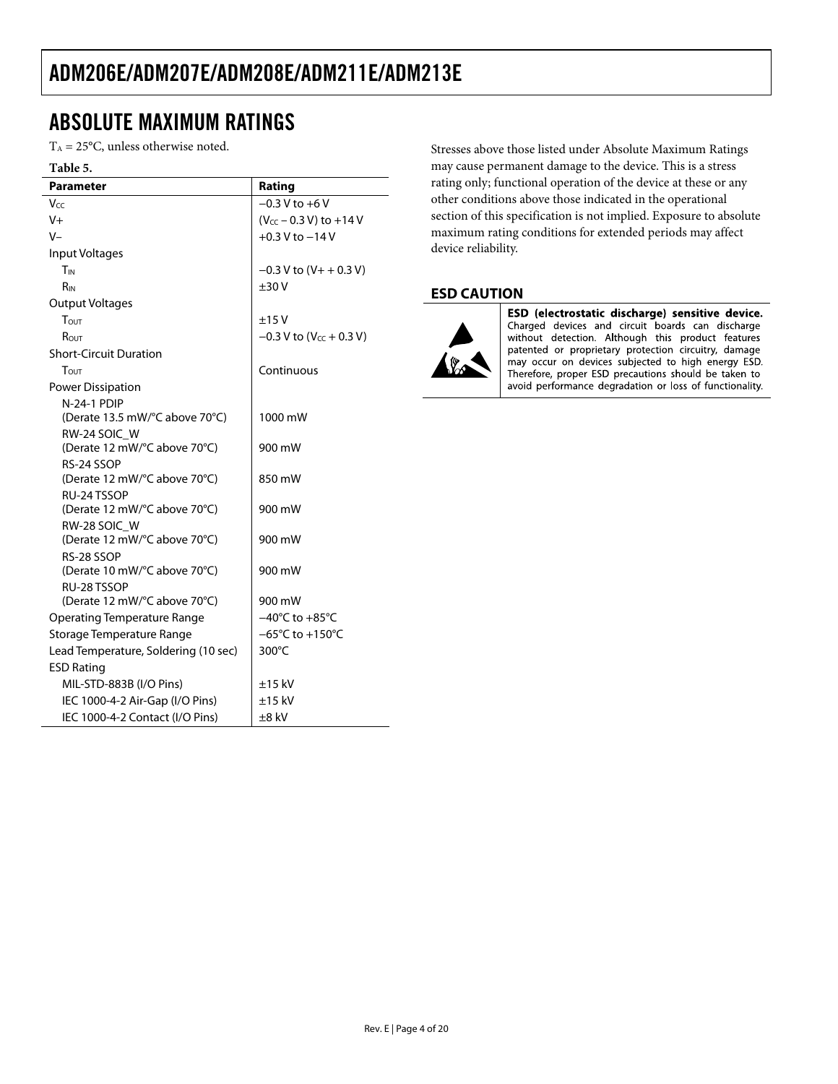### <span id="page-3-0"></span>ABSOLUTE MAXIMUM RATINGS

 $T_A = 25$ °C, unless otherwise noted.

#### **Table 5.**

| <b>Parameter</b>                            | Rating                                |
|---------------------------------------------|---------------------------------------|
| Vcc                                         | $-0.3$ V to $+6$ V                    |
| V+                                          | (V <sub>CC</sub> - 0.3 V) to +14 V    |
| $V -$                                       | $+0.3$ V to $-14$ V                   |
| Input Voltages                              |                                       |
| TIN                                         | $-0.3$ V to $(V + + 0.3 V)$           |
| R <sub>IN</sub>                             | ±30V                                  |
| <b>Output Voltages</b>                      |                                       |
| Tout                                        | ±15V                                  |
| $R_{OUT}$                                   | $-0.3$ V to (V <sub>cc</sub> + 0.3 V) |
| <b>Short-Circuit Duration</b>               |                                       |
| $T_{\text{OUT}}$                            | Continuous                            |
| Power Dissipation                           |                                       |
| <b>N-24-1 PDIP</b>                          |                                       |
| (Derate 13.5 mW/°C above 70°C)              | 1000 mW                               |
| RW-24 SOIC_W                                |                                       |
| (Derate 12 mW/°C above 70°C)                | 900 mW                                |
| RS-24 SSOP                                  |                                       |
| (Derate 12 mW/°C above 70°C)                | 850 mW                                |
| RU-24 TSSOP<br>(Derate 12 mW/°C above 70°C) | 900 mW                                |
| RW-28 SOIC W                                |                                       |
| (Derate 12 mW/°C above 70°C)                | 900 mW                                |
| RS-28 SSOP                                  |                                       |
| (Derate 10 mW/°C above 70°C)                | 900 mW                                |
| RU-28 TSSOP                                 |                                       |
| (Derate 12 mW/°C above 70°C)                | 900 mW                                |
| <b>Operating Temperature Range</b>          | $-40^{\circ}$ C to $+85^{\circ}$ C    |
| Storage Temperature Range                   | $-65^{\circ}$ C to $+150^{\circ}$ C   |
| Lead Temperature, Soldering (10 sec)        | 300°C                                 |
| <b>ESD Rating</b>                           |                                       |
| MIL-STD-883B (I/O Pins)                     | $±15$ kV                              |
| IEC 1000-4-2 Air-Gap (I/O Pins)             | $±15$ kV                              |
| IEC 1000-4-2 Contact (I/O Pins)             | ±8 kV                                 |

Stresses above those listed under Absolute Maximum Ratings may cause permanent damage to the device. This is a stress rating only; functional operation of the device at these or any other conditions above those indicated in the operational section of this specification is not implied. Exposure to absolute maximum rating conditions for extended periods may affect device reliability.

#### **ESD CAUTION**



ESD (electrostatic discharge) sensitive device. Charged devices and circuit boards can discharge<br>without detection. Although this product features patented or proprietary protection circuitry, damage may occur on devices subjected to high energy ESD. Therefore, proper ESD precautions should be taken to avoid performance degradation or loss of functionality.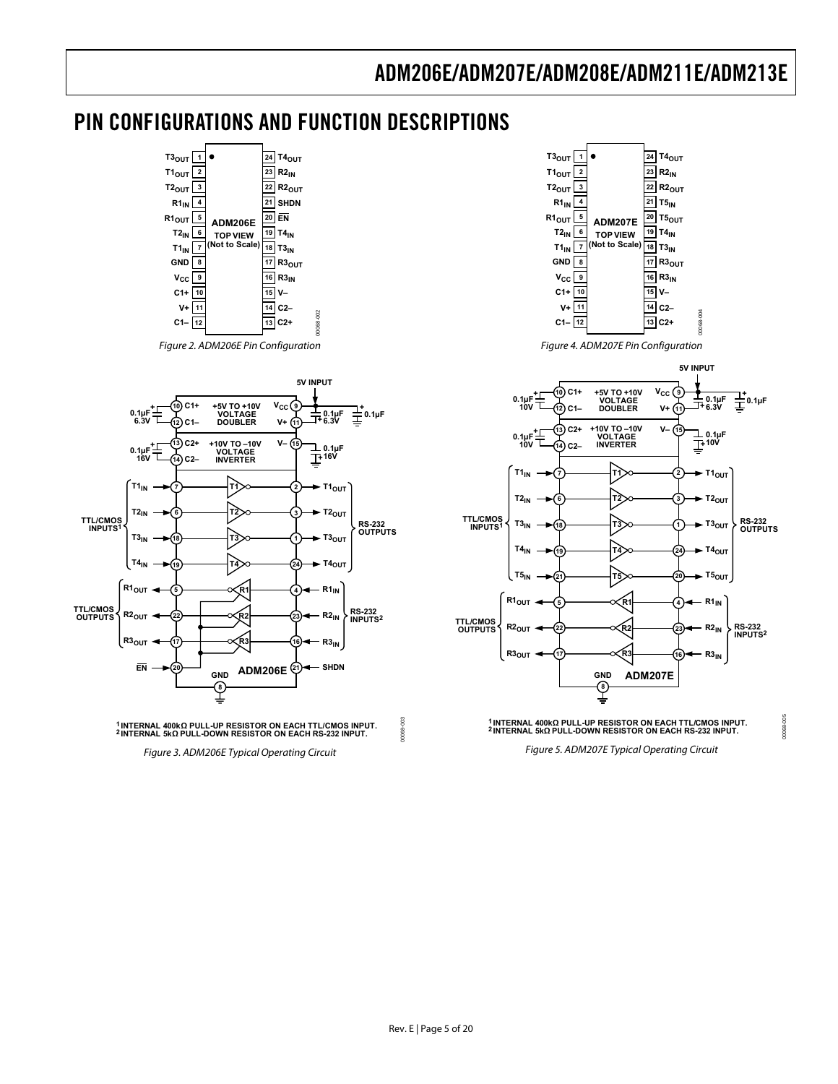### <span id="page-4-0"></span>PIN CONFIGURATIONS AND FUNCTION DESCRIPTIONS

00068-002













Figure 4. ADM207E Pin Configuration



**<sup>1</sup> INTERNAL 400kΩ PULL-UP RESISTOR ON EACH TTL/CMOS INPUT. <sup>2</sup> INTERNAL 5k<sup>Ω</sup> PULL-DOWN RESISTOR ON EACH RS-232 INPUT.**

00068-005

30068

Figure 5. ADM207E Typical Operating Circuit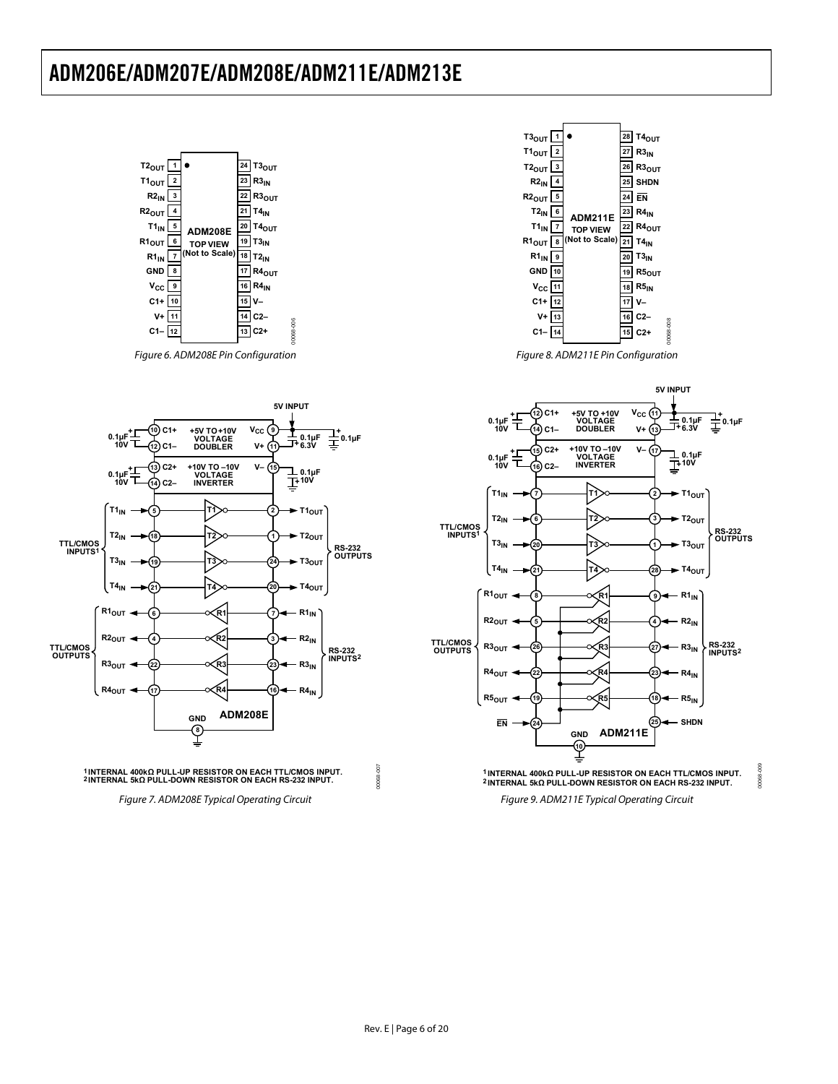

Figure 7. ADM208E Typical Operating Circuit



Figure 8. ADM211E Pin Configuration

00068-008



Figure 9. ADM211E Typical Operating Circuit

00068-009

 $50^{\circ}$ 0068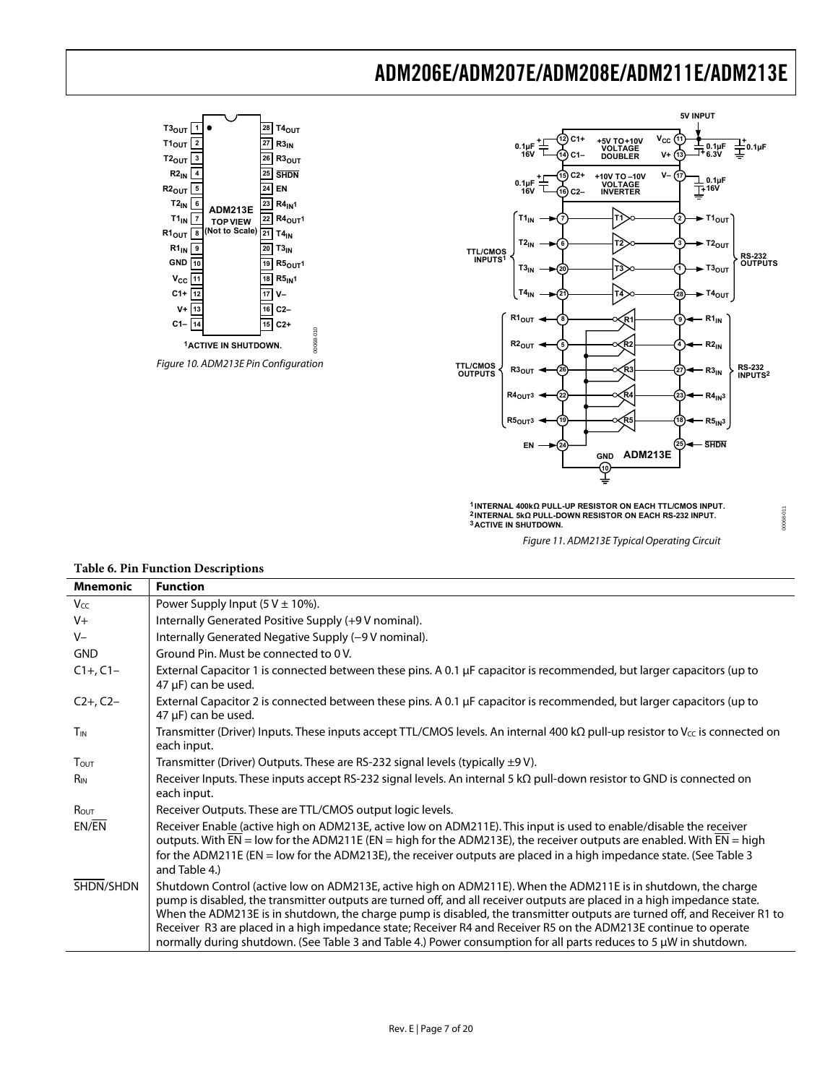



**5V INPUT**

**1 INTERNAL 400kΩ PULL-UP RESISTOR ON EACH TTL/CMOS INPUT. 2 INTERNAL 5kΩ PULL-DOWN RESISTOR ON EACH RS-232 INPUT. 3ACTIVE IN SHUTDOWN.**

Figure 11. ADM213E Typical Operating Circuit

00068-011

00068-011

| <b>Mnemonic</b>        | <b>Function</b>                                                                                                                                                                                                                                                                                                                                                                                                                                                                                                                                                                                                |
|------------------------|----------------------------------------------------------------------------------------------------------------------------------------------------------------------------------------------------------------------------------------------------------------------------------------------------------------------------------------------------------------------------------------------------------------------------------------------------------------------------------------------------------------------------------------------------------------------------------------------------------------|
| Vcc                    | Power Supply Input (5 V $\pm$ 10%).                                                                                                                                                                                                                                                                                                                                                                                                                                                                                                                                                                            |
| $V +$                  | Internally Generated Positive Supply (+9 V nominal).                                                                                                                                                                                                                                                                                                                                                                                                                                                                                                                                                           |
| $V -$                  | Internally Generated Negative Supply (-9 V nominal).                                                                                                                                                                                                                                                                                                                                                                                                                                                                                                                                                           |
| <b>GND</b>             | Ground Pin. Must be connected to 0 V.                                                                                                                                                                                                                                                                                                                                                                                                                                                                                                                                                                          |
| $C1+$ , $C1-$          | External Capacitor 1 is connected between these pins. A 0.1 µF capacitor is recommended, but larger capacitors (up to<br>$47 \mu F$ ) can be used.                                                                                                                                                                                                                                                                                                                                                                                                                                                             |
| $C2+$ , $C2-$          | External Capacitor 2 is connected between these pins. A 0.1 µF capacitor is recommended, but larger capacitors (up to<br>47 µF) can be used.                                                                                                                                                                                                                                                                                                                                                                                                                                                                   |
| <b>T<sub>IN</sub></b>  | Transmitter (Driver) Inputs. These inputs accept TTL/CMOS levels. An internal 400 k $\Omega$ pull-up resistor to V <sub>cc</sub> is connected on<br>each input.                                                                                                                                                                                                                                                                                                                                                                                                                                                |
| TOUT                   | Transmitter (Driver) Outputs. These are RS-232 signal levels (typically $\pm 9$ V).                                                                                                                                                                                                                                                                                                                                                                                                                                                                                                                            |
| <b>R</b> <sub>IN</sub> | Receiver Inputs. These inputs accept RS-232 signal levels. An internal 5 $k\Omega$ pull-down resistor to GND is connected on<br>each input.                                                                                                                                                                                                                                                                                                                                                                                                                                                                    |
| Rout                   | Receiver Outputs. These are TTL/CMOS output logic levels.                                                                                                                                                                                                                                                                                                                                                                                                                                                                                                                                                      |
| EN/EN                  | Receiver Enable (active high on ADM213E, active low on ADM211E). This input is used to enable/disable the receiver<br>outputs. With $EN =$ low for the ADM211E (EN = high for the ADM213E), the receiver outputs are enabled. With $EN =$ high<br>for the ADM211E (EN = low for the ADM213E), the receiver outputs are placed in a high impedance state. (See Table 3<br>and Table 4.)                                                                                                                                                                                                                         |
| SHDN/SHDN              | Shutdown Control (active low on ADM213E, active high on ADM211E). When the ADM211E is in shutdown, the charge<br>pump is disabled, the transmitter outputs are turned off, and all receiver outputs are placed in a high impedance state.<br>When the ADM213E is in shutdown, the charge pump is disabled, the transmitter outputs are turned off, and Receiver R1 to<br>Receiver R3 are placed in a high impedance state; Receiver R4 and Receiver R5 on the ADM213E continue to operate<br>normally during shutdown. (See Table 3 and Table 4.) Power consumption for all parts reduces to 5 µW in shutdown. |

#### **Table 6. Pin Function Descriptions**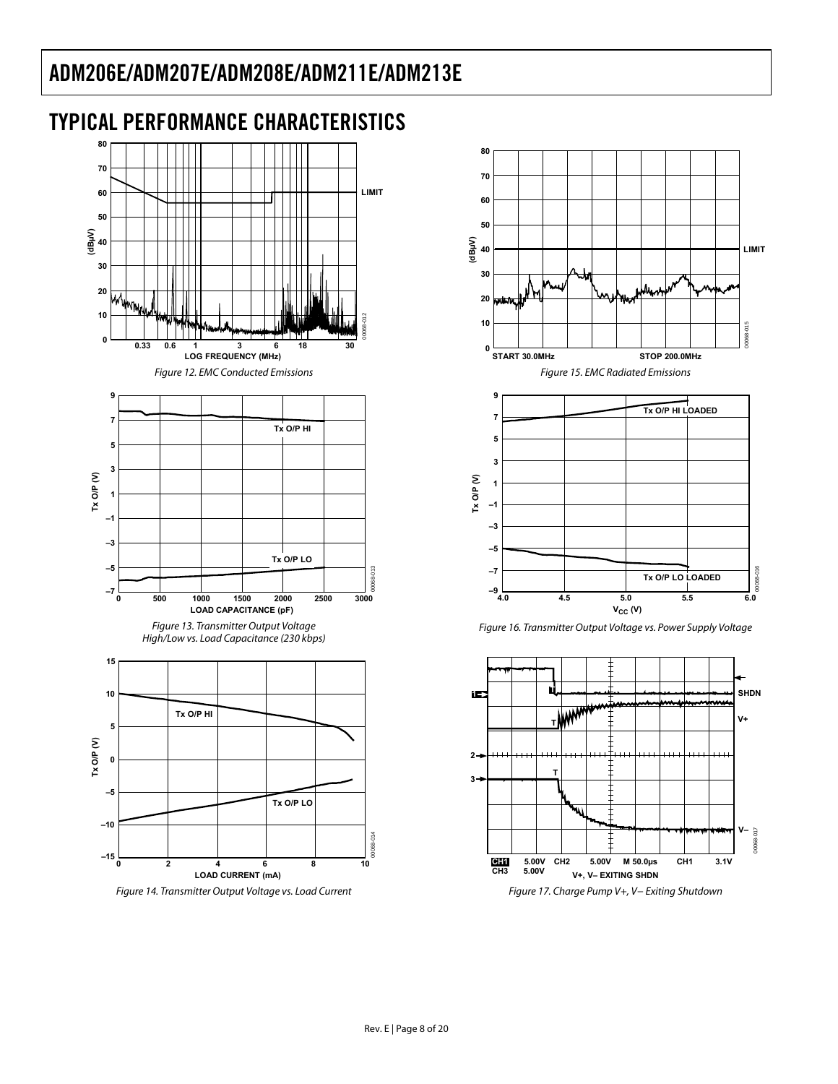<span id="page-7-0"></span>



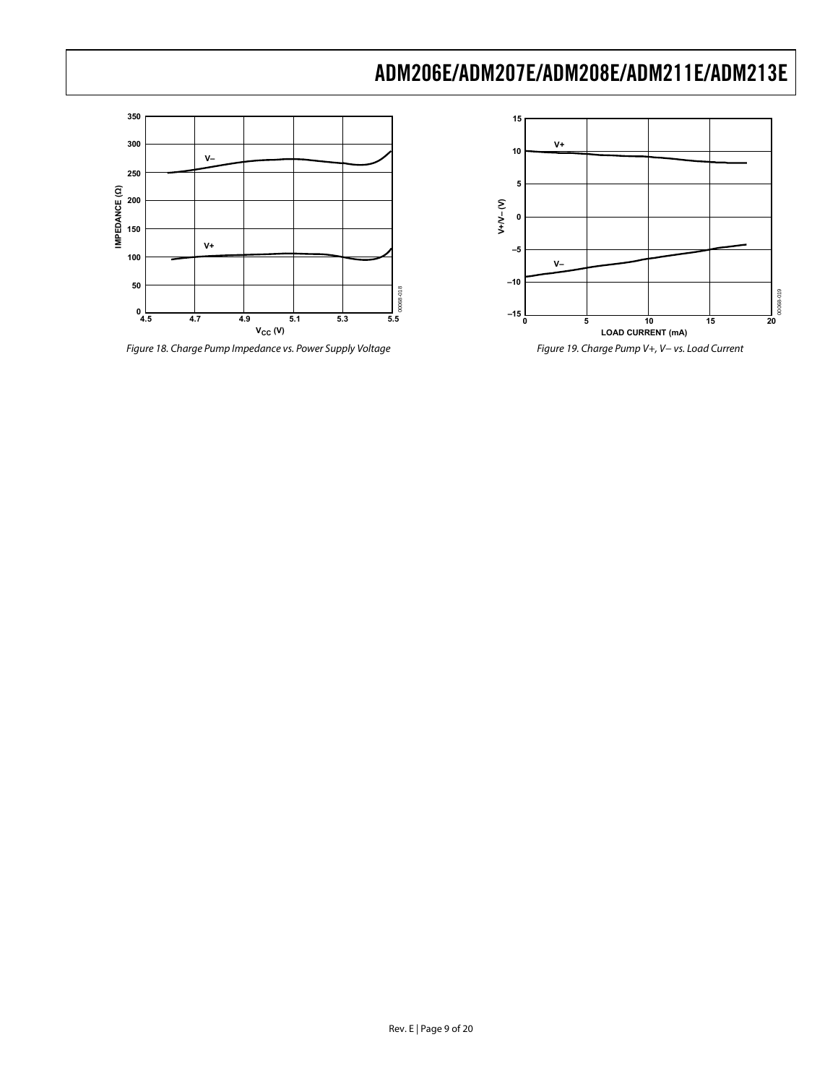

Figure 18. Charge Pump Impedance vs. Power Supply Voltage



Figure 19. Charge Pump V+, V− vs. Load Current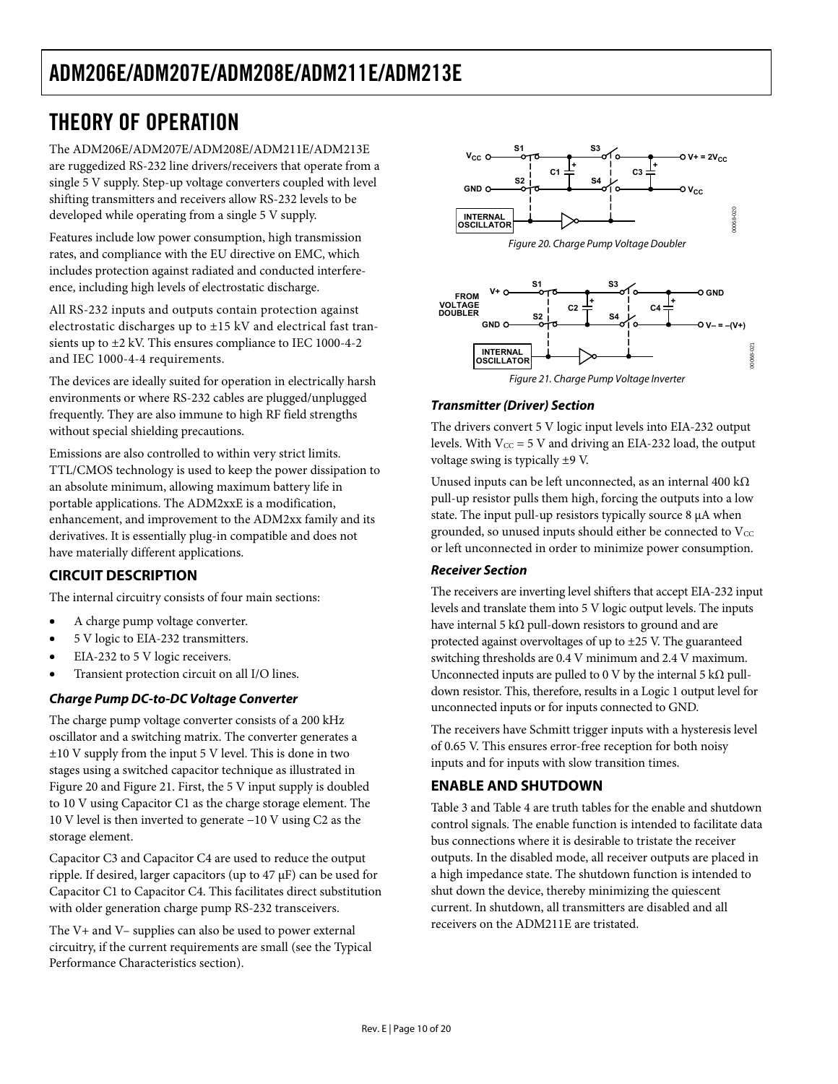### <span id="page-9-0"></span>THEORY OF OPERATION

The ADM206E/ADM207E/ADM208E/ADM211E/ADM213E are ruggedized RS-232 line drivers/receivers that operate from a single 5 V supply. Step-up voltage converters coupled with level shifting transmitters and receivers allow RS-232 levels to be developed while operating from a single 5 V supply.

Features include low power consumption, high transmission rates, and compliance with the EU directive on EMC, which includes protection against radiated and conducted interfereence, including high levels of electrostatic discharge.

All RS-232 inputs and outputs contain protection against electrostatic discharges up to ±15 kV and electrical fast transients up to  $\pm 2$  kV. This ensures compliance to IEC 1000-4-2 and IEC 1000-4-4 requirements.

The devices are ideally suited for operation in electrically harsh environments or where RS-232 cables are plugged/unplugged frequently. They are also immune to high RF field strengths without special shielding precautions.

Emissions are also controlled to within very strict limits. TTL/CMOS technology is used to keep the power dissipation to an absolute minimum, allowing maximum battery life in portable applications. The ADM2xxE is a modification, enhancement, and improvement to the ADM2xx family and its derivatives. It is essentially plug-in compatible and does not have materially different applications.

#### **CIRCUIT DESCRIPTION**

The internal circuitry consists of four main sections:

- A charge pump voltage converter.
- 5 V logic to EIA-232 transmitters.
- EIA-232 to 5 V logic receivers.
- Transient protection circuit on all I/O lines.

#### **Charge Pump DC-to-DC Voltage Converter**

The charge pump voltage converter consists of a 200 kHz oscillator and a switching matrix. The converter generates a ±10 V supply from the input 5 V level. This is done in two stages using a switched capacitor technique as illustrated in Figure 20 and Figure 21. First, the 5 V input supply is doubled to 10 V using Capacitor C1 as the charge storage element. The 10 V level is then inverted to generate −10 V using C2 as the storage element.

Capacitor C3 and Capacitor C4 are used to reduce the output ripple. If desired, larger capacitors (up to  $47 \mu$ F) can be used for Capacitor C1 to Capacitor C4. This facilitates direct substitution with older generation charge pump RS-232 transceivers.

The V+ and V– supplies can also be used to power external circuitry, if the current requirements are small (see th[e Typical](#page-7-0)  [Performance Characteristics s](#page-7-0)ection).





#### **Transmitter (Driver) Section**

The drivers convert 5 V logic input levels into EIA-232 output levels. With  $V_{CC} = 5$  V and driving an EIA-232 load, the output voltage swing is typically ±9 V.

Unused inputs can be left unconnected, as an internal 400 kΩ pull-up resistor pulls them high, forcing the outputs into a low state. The input pull-up resistors typically source 8 μA when grounded, so unused inputs should either be connected to  $V_{\text{CC}}$ or left unconnected in order to minimize power consumption.

#### **Receiver Section**

The receivers are inverting level shifters that accept EIA-232 input levels and translate them into 5 V logic output levels. The inputs have internal 5 kΩ pull-down resistors to ground and are protected against overvoltages of up to ±25 V. The guaranteed switching thresholds are 0.4 V minimum and 2.4 V maximum. Unconnected inputs are pulled to 0 V by the internal 5 k $\Omega$  pulldown resistor. This, therefore, results in a Logic 1 output level for unconnected inputs or for inputs connected to GND.

The receivers have Schmitt trigger inputs with a hysteresis level of 0.65 V. This ensures error-free reception for both noisy inputs and for inputs with slow transition times.

#### **ENABLE AND SHUTDOWN**

[Table 3 a](#page-2-0)n[d Table 4 a](#page-2-0)re truth tables for the enable and shutdown control signals. The enable function is intended to facilitate data bus connections where it is desirable to tristate the receiver outputs. In the disabled mode, all receiver outputs are placed in a high impedance state. The shutdown function is intended to shut down the device, thereby minimizing the quiescent current. In shutdown, all transmitters are disabled and all receivers on the ADM211E are tristated.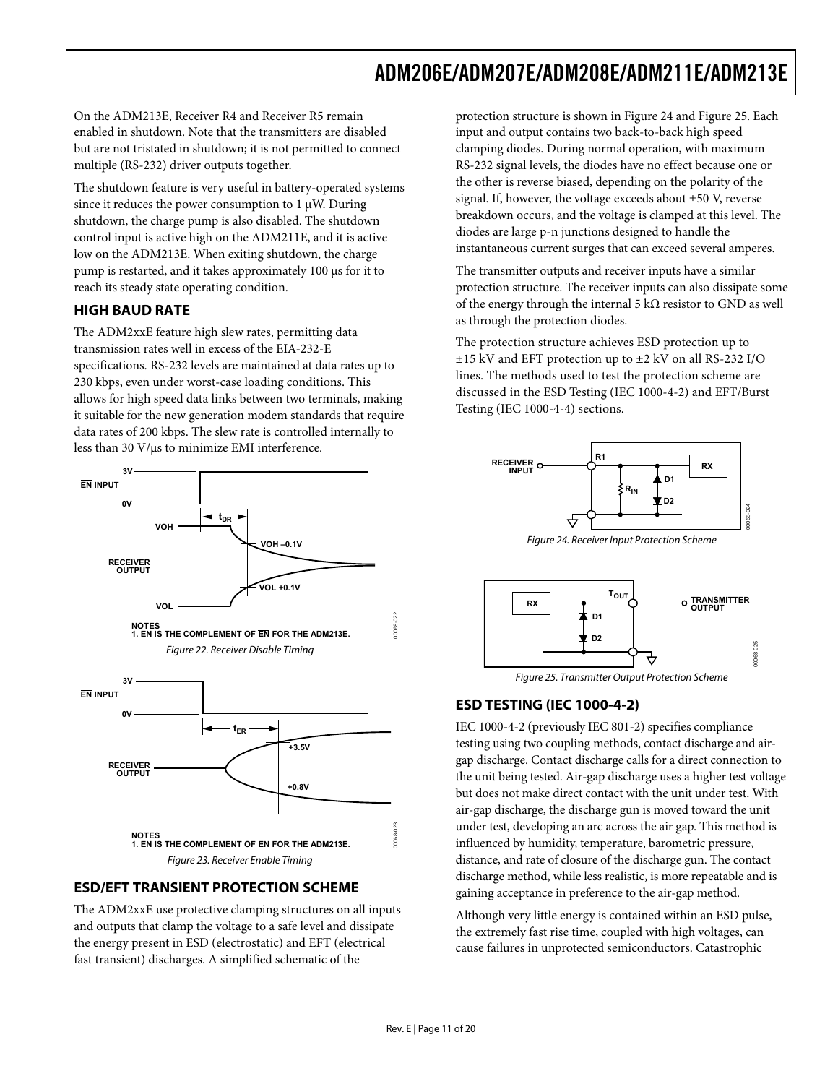<span id="page-10-0"></span>On the ADM213E, Receiver R4 and Receiver R5 remain enabled in shutdown. Note that the transmitters are disabled but are not tristated in shutdown; it is not permitted to connect multiple (RS-232) driver outputs together.

The shutdown feature is very useful in battery-operated systems since it reduces the power consumption to  $1 \mu W$ . During shutdown, the charge pump is also disabled. The shutdown control input is active high on the ADM211E, and it is active low on the ADM213E. When exiting shutdown, the charge pump is restarted, and it takes approximately 100 μs for it to reach its steady state operating condition.

#### **HIGH BAUD RATE**

The ADM2xxE feature high slew rates, permitting data transmission rates well in excess of the EIA-232-E specifications. RS-232 levels are maintained at data rates up to 230 kbps, even under worst-case loading conditions. This allows for high speed data links between two terminals, making it suitable for the new generation modem standards that require data rates of 200 kbps. The slew rate is controlled internally to less than 30 V/μs to minimize EMI interference.



#### **ESD/EFT TRANSIENT PROTECTION SCHEME**

The ADM2xxE use protective clamping structures on all inputs and outputs that clamp the voltage to a safe level and dissipate the energy present in ESD (electrostatic) and EFT (electrical fast transient) discharges. A simplified schematic of the

protection structure is shown in Figure 24 and Figure 25. Each input and output contains two back-to-back high speed clamping diodes. During normal operation, with maximum RS-232 signal levels, the diodes have no effect because one or the other is reverse biased, depending on the polarity of the signal. If, however, the voltage exceeds about ±50 V, reverse breakdown occurs, and the voltage is clamped at this level. The diodes are large p-n junctions designed to handle the instantaneous current surges that can exceed several amperes.

The transmitter outputs and receiver inputs have a similar protection structure. The receiver inputs can also dissipate some of the energy through the internal 5 k $\Omega$  resistor to GND as well as through the protection diodes.

The protection structure achieves ESD protection up to ±15 kV and EFT protection up to ±2 kV on all RS-232 I/O lines. The methods used to test the protection scheme are discussed in the ESD Testing (IEC 1000-4-2) and EFT/Burst Testing (IEC  $1000-4-4$ ) sections.



Figure 24. Receiver Input Protection Scheme



Figure 25. Transmitter Output Protection Scheme

#### **ESD TESTING (IEC 1000-4-2)**

IEC 1000-4-2 (previously IEC 801-2) specifies compliance testing using two coupling methods, contact discharge and airgap discharge. Contact discharge calls for a direct connection to the unit being tested. Air-gap discharge uses a higher test voltage but does not make direct contact with the unit under test. With air-gap discharge, the discharge gun is moved toward the unit under test, developing an arc across the air gap. This method is influenced by humidity, temperature, barometric pressure, distance, and rate of closure of the discharge gun. The contact discharge method, while less realistic, is more repeatable and is gaining acceptance in preference to the air-gap method.

Although very little energy is contained within an ESD pulse, the extremely fast rise time, coupled with high voltages, can cause failures in unprotected semiconductors. Catastrophic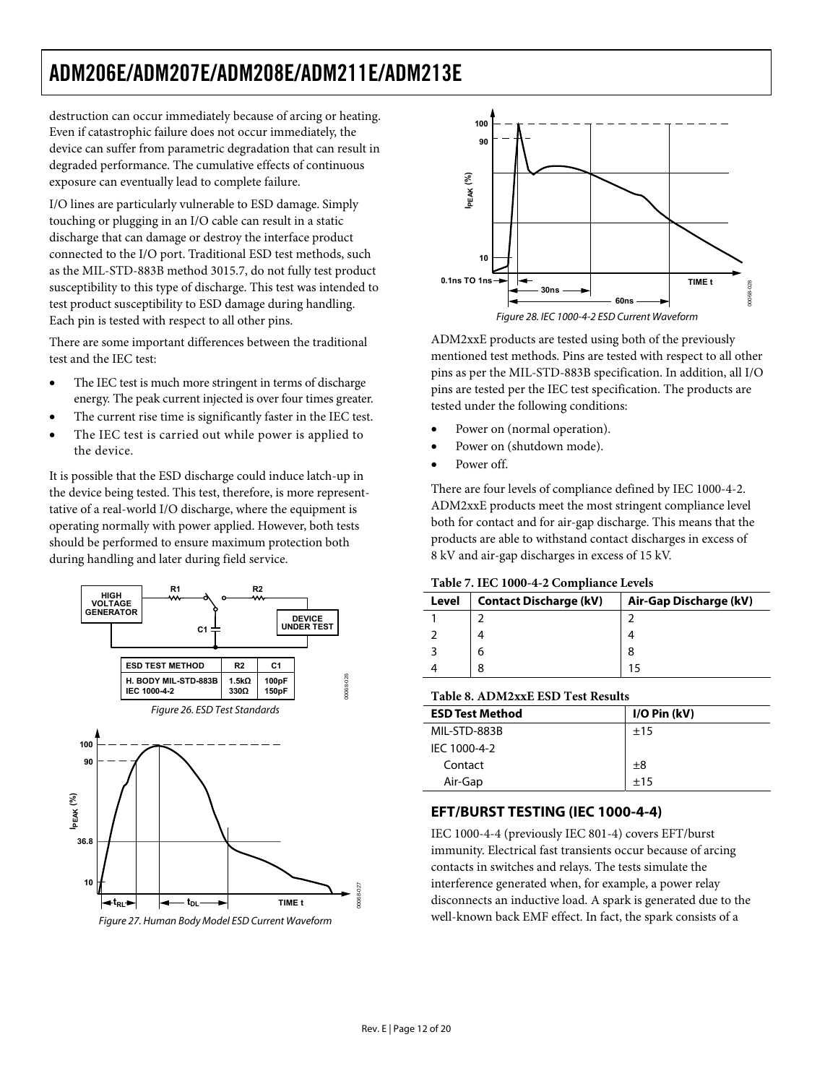<span id="page-11-0"></span>destruction can occur immediately because of arcing or heating. Even if catastrophic failure does not occur immediately, the device can suffer from parametric degradation that can result in degraded performance. The cumulative effects of continuous exposure can eventually lead to complete failure.

I/O lines are particularly vulnerable to ESD damage. Simply touching or plugging in an I/O cable can result in a static discharge that can damage or destroy the interface product connected to the I/O port. Traditional ESD test methods, such as the MIL-STD-883B method 3015.7, do not fully test product susceptibility to this type of discharge. This test was intended to test product susceptibility to ESD damage during handling. Each pin is tested with respect to all other pins.

There are some important differences between the traditional test and the IEC test:

- The IEC test is much more stringent in terms of discharge energy. The peak current injected is over four times greater.
- The current rise time is significantly faster in the IEC test.
- The IEC test is carried out while power is applied to the device.

It is possible that the ESD discharge could induce latch-up in the device being tested. This test, therefore, is more representtative of a real-world I/O discharge, where the equipment is operating normally with power applied. However, both tests should be performed to ensure maximum protection both during handling and later during field service.





Figure 27. Human Body Model ESD Current Waveform



ADM2xxE products are tested using both of the previously mentioned test methods. Pins are tested with respect to all other pins as per the MIL-STD-883B specification. In addition, all I/O pins are tested per the IEC test specification. The products are tested under the following conditions:

- Power on (normal operation).
- Power on (shutdown mode).
- Power off.

There are four levels of compliance defined by IEC 1000-4-2. ADM2xxE products meet the most stringent compliance level both for contact and for air-gap discharge. This means that the products are able to withstand contact discharges in excess of 8 kV and air-gap discharges in excess of 15 kV.

#### **Table 7. IEC 1000-4-2 Compliance Levels**

| Level | <b>Contact Discharge (kV)</b> | Air-Gap Discharge (kV) |  |  |  |  |  |
|-------|-------------------------------|------------------------|--|--|--|--|--|
|       |                               |                        |  |  |  |  |  |
|       |                               |                        |  |  |  |  |  |
|       | 6                             | 8                      |  |  |  |  |  |
|       |                               |                        |  |  |  |  |  |

#### **Table 8. ADM2xxE ESD Test Results**

| <b>ESD Test Method</b> | $I/O P$ in (kV) |
|------------------------|-----------------|
| MIL-STD-883B           | ±15             |
| IEC 1000-4-2           |                 |
| Contact                | ±8              |
| Air-Gap                | $+15$           |

#### **EFT/BURST TESTING (IEC 1000-4-4)**

IEC 1000-4-4 (previously IEC 801-4) covers EFT/burst immunity. Electrical fast transients occur because of arcing contacts in switches and relays. The tests simulate the interference generated when, for example, a power relay disconnects an inductive load. A spark is generated due to the well-known back EMF effect. In fact, the spark consists of a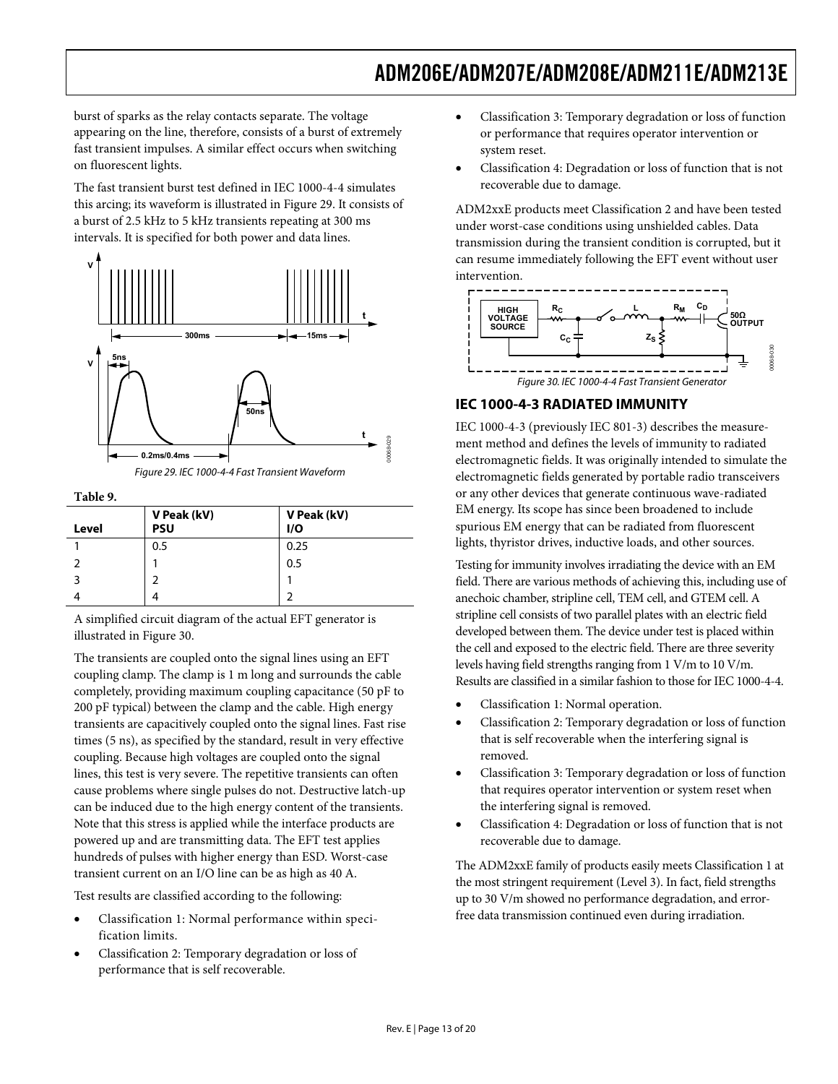<span id="page-12-0"></span>burst of sparks as the relay contacts separate. The voltage appearing on the line, therefore, consists of a burst of extremely fast transient impulses. A similar effect occurs when switching on fluorescent lights.

The fast transient burst test defined in IEC 1000-4-4 simulates this arcing; its waveform is illustrated in Figure 29. It consists of a burst of 2.5 kHz to 5 kHz transients repeating at 300 ms intervals. It is specified for both power and data lines.



**Table 9.** 

| Level | V Peak (kV)<br><b>PSU</b> | V Peak (kV)<br>1/O |
|-------|---------------------------|--------------------|
|       | 0.5                       | 0.25               |
|       |                           | 0.5                |
| 3     |                           |                    |
|       |                           |                    |

A simplified circuit diagram of the actual EFT generator is illustrated in Figure 30.

The transients are coupled onto the signal lines using an EFT coupling clamp. The clamp is 1 m long and surrounds the cable completely, providing maximum coupling capacitance (50 pF to 200 pF typical) between the clamp and the cable. High energy transients are capacitively coupled onto the signal lines. Fast rise times (5 ns), as specified by the standard, result in very effective coupling. Because high voltages are coupled onto the signal lines, this test is very severe. The repetitive transients can often cause problems where single pulses do not. Destructive latch-up can be induced due to the high energy content of the transients. Note that this stress is applied while the interface products are powered up and are transmitting data. The EFT test applies hundreds of pulses with higher energy than ESD. Worst-case transient current on an I/O line can be as high as 40 A.

Test results are classified according to the following:

- Classification 1: Normal performance within specification limits.
- Classification 2: Temporary degradation or loss of performance that is self recoverable.
- Classification 3: Temporary degradation or loss of function or performance that requires operator intervention or system reset.
- Classification 4: Degradation or loss of function that is not recoverable due to damage.

ADM2xxE products meet Classification 2 and have been tested under worst-case conditions using unshielded cables. Data transmission during the transient condition is corrupted, but it can resume immediately following the EFT event without user intervention.



#### **IEC 1000-4-3 RADIATED IMMUNITY**

IEC 1000-4-3 (previously IEC 801-3) describes the measurement method and defines the levels of immunity to radiated electromagnetic fields. It was originally intended to simulate the electromagnetic fields generated by portable radio transceivers or any other devices that generate continuous wave-radiated EM energy. Its scope has since been broadened to include spurious EM energy that can be radiated from fluorescent lights, thyristor drives, inductive loads, and other sources.

Testing for immunity involves irradiating the device with an EM field. There are various methods of achieving this, including use of anechoic chamber, stripline cell, TEM cell, and GTEM cell. A stripline cell consists of two parallel plates with an electric field developed between them. The device under test is placed within the cell and exposed to the electric field. There are three severity levels having field strengths ranging from 1 V/m to 10 V/m. Results are classified in a similar fashion to those for IEC 1000-4-4.

- Classification 1: Normal operation.
- Classification 2: Temporary degradation or loss of function that is self recoverable when the interfering signal is removed.
- Classification 3: Temporary degradation or loss of function that requires operator intervention or system reset when the interfering signal is removed.
- Classification 4: Degradation or loss of function that is not recoverable due to damage.

The ADM2xxE family of products easily meets Classification 1 at the most stringent requirement (Level 3). In fact, field strengths up to 30 V/m showed no performance degradation, and errorfree data transmission continued even during irradiation.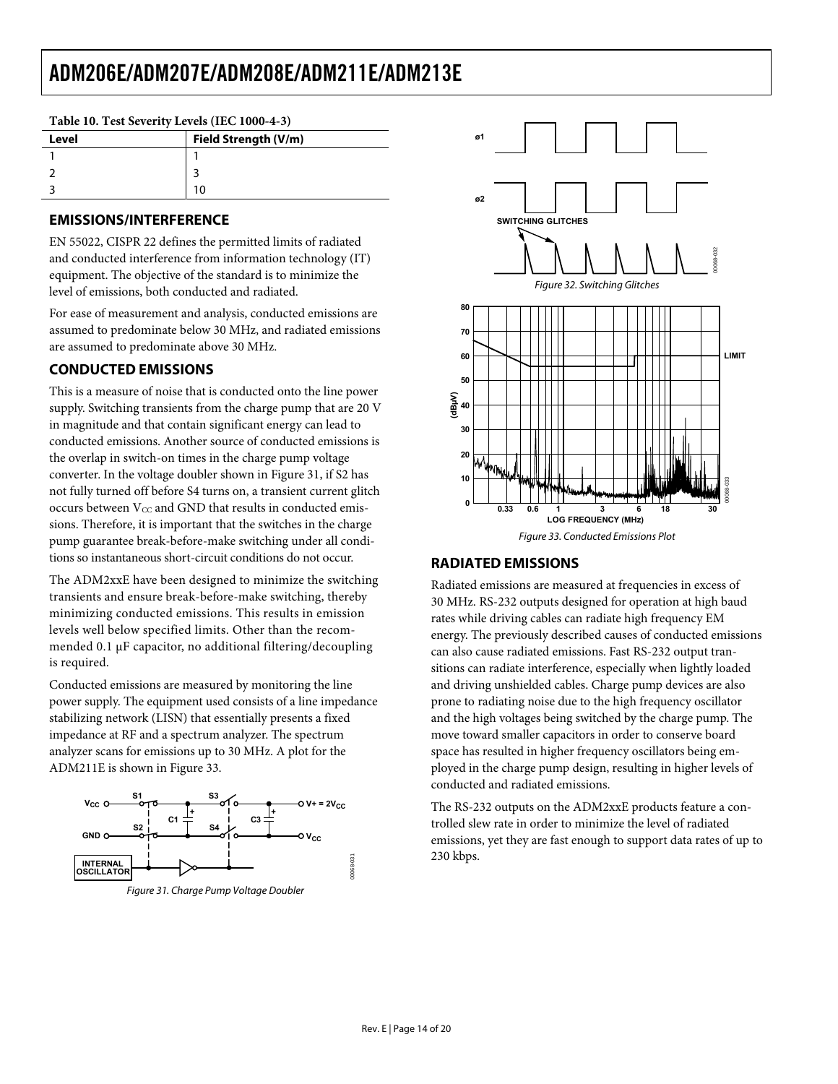|       | Twore for feat of value, herein (the flood $101$ ) |                      |  |  |  |
|-------|----------------------------------------------------|----------------------|--|--|--|
| Level |                                                    | Field Strength (V/m) |  |  |  |
|       |                                                    |                      |  |  |  |
|       |                                                    |                      |  |  |  |
|       |                                                    | 10                   |  |  |  |

#### <span id="page-13-0"></span>**Table 10. Test Severity Levels (IEC 1000-4-3)**

#### **EMISSIONS/INTERFERENCE**

EN 55022, CISPR 22 defines the permitted limits of radiated and conducted interference from information technology (IT) equipment. The objective of the standard is to minimize the level of emissions, both conducted and radiated.

For ease of measurement and analysis, conducted emissions are assumed to predominate below 30 MHz, and radiated emissions are assumed to predominate above 30 MHz.

#### **CONDUCTED EMISSIONS**

This is a measure of noise that is conducted onto the line power supply. Switching transients from the charge pump that are 20 V in magnitude and that contain significant energy can lead to conducted emissions. Another source of conducted emissions is the overlap in switch-on times in the charge pump voltage converter. In the voltage doubler shown in Figure 31, if S2 has not fully turned off before S4 turns on, a transient current glitch occurs between Vcc and GND that results in conducted emissions. Therefore, it is important that the switches in the charge pump guarantee break-before-make switching under all conditions so instantaneous short-circuit conditions do not occur.

The ADM2xxE have been designed to minimize the switching transients and ensure break-before-make switching, thereby minimizing conducted emissions. This results in emission levels well below specified limits. Other than the recommended 0.1 μF capacitor, no additional filtering/decoupling is required.

Conducted emissions are measured by monitoring the line power supply. The equipment used consists of a line impedance stabilizing network (LISN) that essentially presents a fixed impedance at RF and a spectrum analyzer. The spectrum analyzer scans for emissions up to 30 MHz. A plot for the ADM211E is shown in Figure 33.



Figure 31. Charge Pump Voltage Doubler



#### **RADIATED EMISSIONS**

Radiated emissions are measured at frequencies in excess of 30 MHz. RS-232 outputs designed for operation at high baud rates while driving cables can radiate high frequency EM energy. The previously described causes of conducted emissions can also cause radiated emissions. Fast RS-232 output transitions can radiate interference, especially when lightly loaded and driving unshielded cables. Charge pump devices are also prone to radiating noise due to the high frequency oscillator and the high voltages being switched by the charge pump. The move toward smaller capacitors in order to conserve board space has resulted in higher frequency oscillators being employed in the charge pump design, resulting in higher levels of conducted and radiated emissions.

The RS-232 outputs on the ADM2xxE products feature a controlled slew rate in order to minimize the level of radiated emissions, yet they are fast enough to support data rates of up to 230 kbps.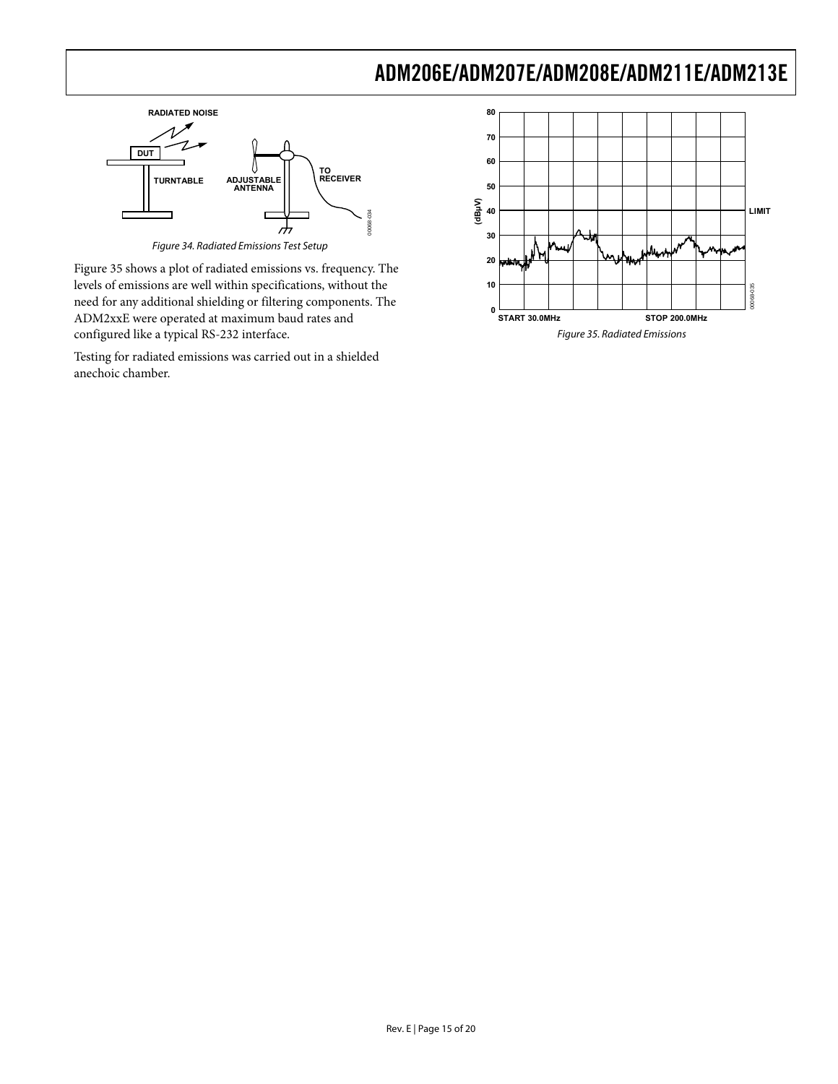

Figure 34. Radiated Emissions Test Setup

Figure 35 shows a plot of radiated emissions vs. frequency. The levels of emissions are well within specifications, without the need for any additional shielding or filtering components. The ADM2xxE were operated at maximum baud rates and configured like a typical RS-232 interface.

Testing for radiated emissions was carried out in a shielded anechoic chamber.

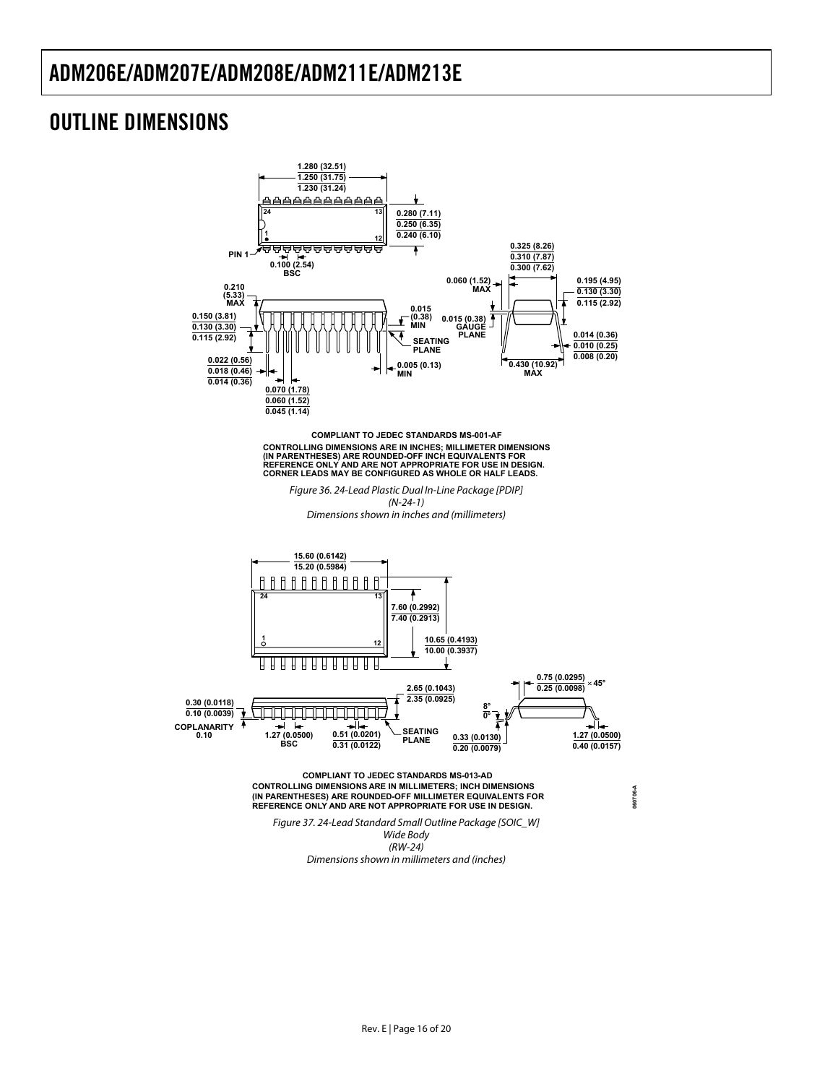### <span id="page-15-0"></span>OUTLINE DIMENSIONS



CONTROLLING DIMENSIONS ARE IN INCHES; MILLIMETER DIMENSIONS<br>(IN PARENTHESES) ARE ROUNDED-OFF INCH EQUIVALENTS FOR<br>REFERENCE ONLY AND ARE NOT APPROPRIATE FOR USE IN DESIGN.<br>CORNER LEADS MAY BE CONFIGURED AS WHOLE OR HALF LE **COMPLIANT TO JEDEC STANDARDS MS-001-AF**

Figure 36. 24-Lead Plastic Dual In-Line Package [PDIP] (N-24-1) Dimensions shown in inches and (millimeters)



(RW-24) Dimensions shown in millimeters and (inches)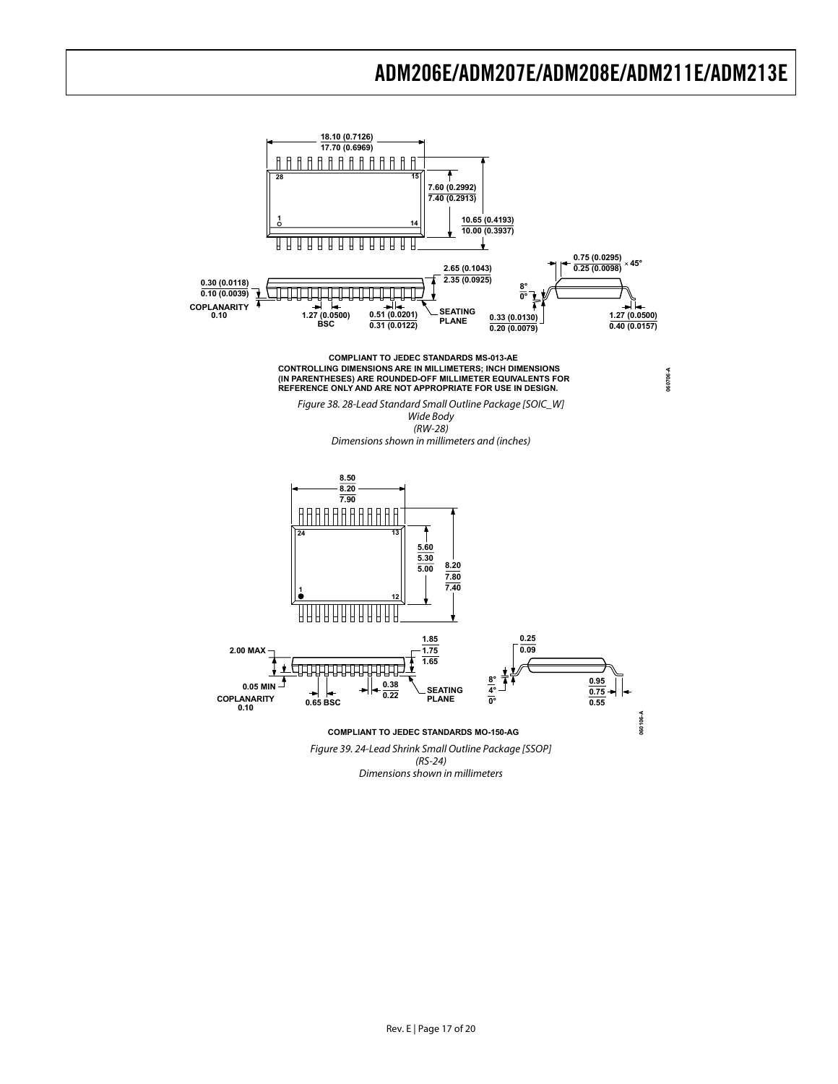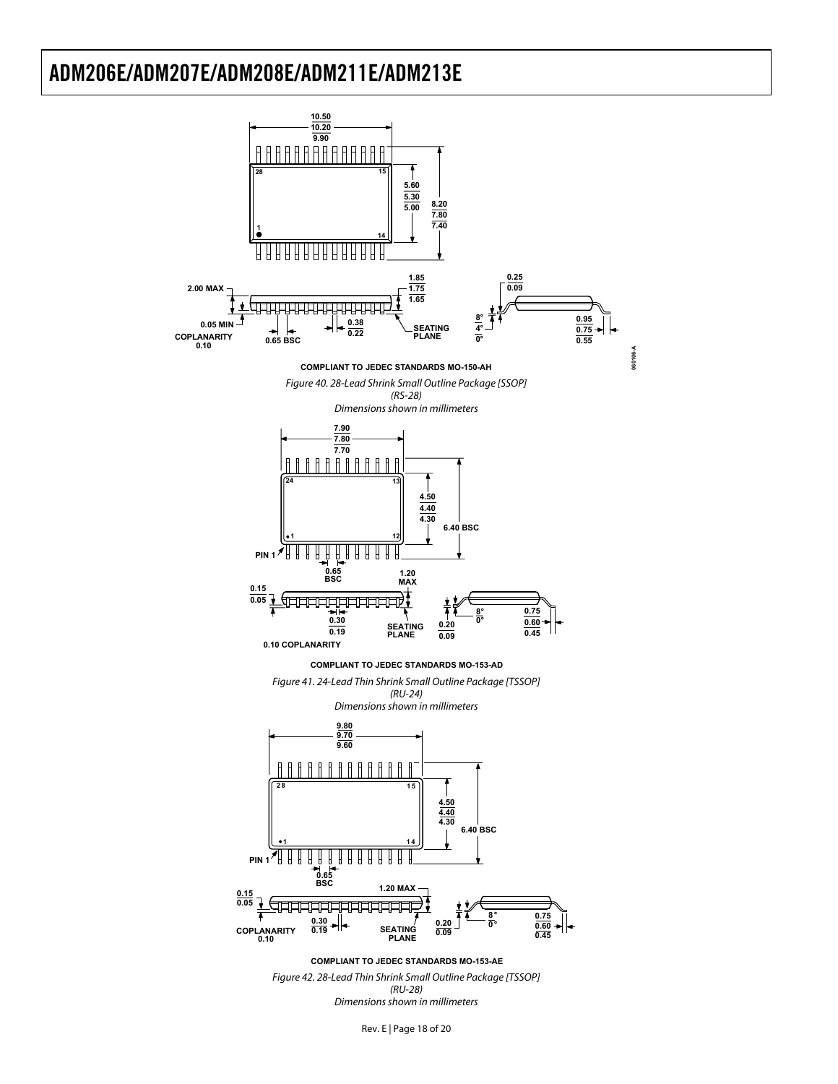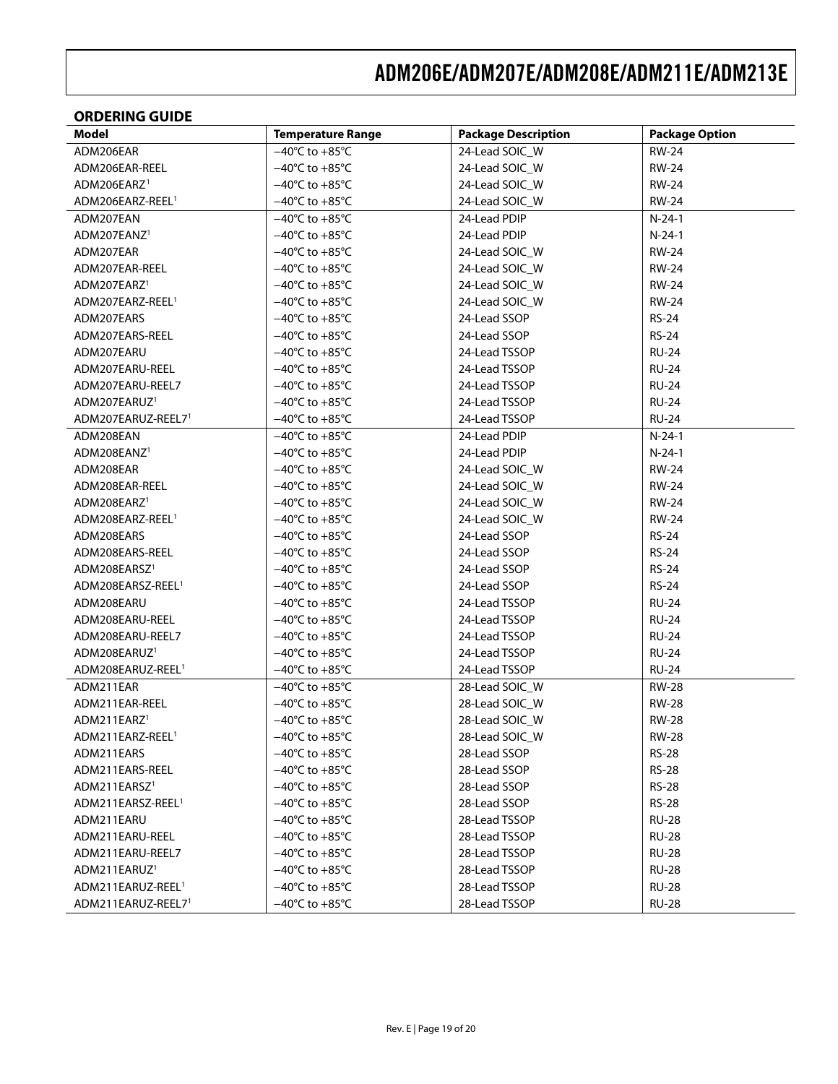#### <span id="page-18-0"></span>**ORDERING GUIDE**

| <b>Model</b>                  | <b>Temperature Range</b>           | <b>Package Description</b> | <b>Package Option</b> |
|-------------------------------|------------------------------------|----------------------------|-----------------------|
| ADM206EAR                     | $-40^{\circ}$ C to $+85^{\circ}$ C | 24-Lead SOIC_W             | <b>RW-24</b>          |
| ADM206EAR-REEL                | $-40^{\circ}$ C to $+85^{\circ}$ C | 24-Lead SOIC_W             | <b>RW-24</b>          |
| ADM206EARZ <sup>1</sup>       | $-40^{\circ}$ C to $+85^{\circ}$ C | 24-Lead SOIC_W             | RW-24                 |
| ADM206EARZ-REEL <sup>1</sup>  | $-40^{\circ}$ C to $+85^{\circ}$ C | 24-Lead SOIC_W             | <b>RW-24</b>          |
| ADM207EAN                     | $-40^{\circ}$ C to $+85^{\circ}$ C | 24-Lead PDIP               | $N-24-1$              |
| ADM207EANZ <sup>1</sup>       | $-40^{\circ}$ C to $+85^{\circ}$ C | 24-Lead PDIP               | $N-24-1$              |
| ADM207EAR                     | $-40^{\circ}$ C to $+85^{\circ}$ C | 24-Lead SOIC_W             | <b>RW-24</b>          |
| ADM207EAR-REEL                | $-40^{\circ}$ C to $+85^{\circ}$ C | 24-Lead SOIC_W             | <b>RW-24</b>          |
| ADM207EARZ <sup>1</sup>       | $-40^{\circ}$ C to $+85^{\circ}$ C | 24-Lead SOIC_W             | <b>RW-24</b>          |
| ADM207EARZ-REEL <sup>1</sup>  | $-40^{\circ}$ C to $+85^{\circ}$ C | 24-Lead SOIC_W             | <b>RW-24</b>          |
| ADM207EARS                    | $-40^{\circ}$ C to $+85^{\circ}$ C | 24-Lead SSOP               | <b>RS-24</b>          |
| ADM207EARS-REEL               | $-40^{\circ}$ C to $+85^{\circ}$ C | 24-Lead SSOP               | <b>RS-24</b>          |
| ADM207EARU                    | $-40^{\circ}$ C to $+85^{\circ}$ C | 24-Lead TSSOP              | <b>RU-24</b>          |
| ADM207EARU-REEL               | $-40^{\circ}$ C to $+85^{\circ}$ C | 24-Lead TSSOP              | <b>RU-24</b>          |
| ADM207EARU-REEL7              | $-40^{\circ}$ C to $+85^{\circ}$ C | 24-Lead TSSOP              | <b>RU-24</b>          |
| ADM207EARUZ <sup>1</sup>      | $-40^{\circ}$ C to $+85^{\circ}$ C | 24-Lead TSSOP              | <b>RU-24</b>          |
| ADM207EARUZ-REEL71            | $-40^{\circ}$ C to $+85^{\circ}$ C | 24-Lead TSSOP              | <b>RU-24</b>          |
| ADM208EAN                     | $-40^{\circ}$ C to $+85^{\circ}$ C | 24-Lead PDIP               | N-24-1                |
| ADM208EANZ <sup>1</sup>       | $-40^{\circ}$ C to $+85^{\circ}$ C | 24-Lead PDIP               | $N-24-1$              |
| ADM208EAR                     | $-40^{\circ}$ C to $+85^{\circ}$ C | 24-Lead SOIC_W             | RW-24                 |
| ADM208EAR-REEL                | $-40^{\circ}$ C to $+85^{\circ}$ C | 24-Lead SOIC_W             | <b>RW-24</b>          |
| ADM208EARZ <sup>1</sup>       | $-40^{\circ}$ C to $+85^{\circ}$ C | 24-Lead SOIC_W             | RW-24                 |
| ADM208EARZ-REEL <sup>1</sup>  | $-40^{\circ}$ C to $+85^{\circ}$ C | 24-Lead SOIC_W             | RW-24                 |
| ADM208EARS                    | $-40^{\circ}$ C to $+85^{\circ}$ C | 24-Lead SSOP               | <b>RS-24</b>          |
| ADM208EARS-REEL               | $-40^{\circ}$ C to $+85^{\circ}$ C | 24-Lead SSOP               | <b>RS-24</b>          |
| ADM208EARSZ <sup>1</sup>      | $-40^{\circ}$ C to $+85^{\circ}$ C | 24-Lead SSOP               | <b>RS-24</b>          |
| ADM208EARSZ-REEL <sup>1</sup> | $-40^{\circ}$ C to $+85^{\circ}$ C | 24-Lead SSOP               | <b>RS-24</b>          |
| ADM208EARU                    | $-40^{\circ}$ C to $+85^{\circ}$ C | 24-Lead TSSOP              | <b>RU-24</b>          |
| ADM208EARU-REEL               | $-40^{\circ}$ C to $+85^{\circ}$ C | 24-Lead TSSOP              | RU-24                 |
| ADM208EARU-REEL7              | $-40^{\circ}$ C to $+85^{\circ}$ C | 24-Lead TSSOP              | RU-24                 |
| ADM208EARUZ <sup>1</sup>      | $-40^{\circ}$ C to $+85^{\circ}$ C | 24-Lead TSSOP              | RU-24                 |
| ADM208EARUZ-REEL <sup>1</sup> | $-40^{\circ}$ C to $+85^{\circ}$ C | 24-Lead TSSOP              | <b>RU-24</b>          |
| ADM211EAR                     | $-40^{\circ}$ C to $+85^{\circ}$ C | 28-Lead SOIC_W             | <b>RW-28</b>          |
| ADM211EAR-REEL                | $-40^{\circ}$ C to $+85^{\circ}$ C | 28-Lead SOIC_W             | <b>RW-28</b>          |
| ADM211EARZ <sup>1</sup>       | $-40^{\circ}$ C to $+85^{\circ}$ C | 28-Lead SOIC_W             | <b>RW-28</b>          |
| ADM211EARZ-REEL <sup>1</sup>  | $-40^{\circ}$ C to $+85^{\circ}$ C | 28-Lead SOIC_W             | <b>RW-28</b>          |
| ADM211EARS                    | $-40^{\circ}$ C to $+85^{\circ}$ C | 28-Lead SSOP               | RS-28                 |
| ADM211EARS-REEL               | $-40^{\circ}$ C to $+85^{\circ}$ C | 28-Lead SSOP               | <b>RS-28</b>          |
| ADM211EARSZ <sup>1</sup>      | $-40^{\circ}$ C to $+85^{\circ}$ C | 28-Lead SSOP               | <b>RS-28</b>          |
| ADM211EARSZ-REEL <sup>1</sup> | $-40^{\circ}$ C to $+85^{\circ}$ C | 28-Lead SSOP               | <b>RS-28</b>          |
| ADM211EARU                    | $-40^{\circ}$ C to $+85^{\circ}$ C | 28-Lead TSSOP              | <b>RU-28</b>          |
| ADM211EARU-REEL               | $-40^{\circ}$ C to $+85^{\circ}$ C | 28-Lead TSSOP              | <b>RU-28</b>          |
| ADM211EARU-REEL7              | $-40^{\circ}$ C to $+85^{\circ}$ C | 28-Lead TSSOP              | <b>RU-28</b>          |
| ADM211EARUZ <sup>1</sup>      | $-40^{\circ}$ C to $+85^{\circ}$ C | 28-Lead TSSOP              | <b>RU-28</b>          |
| ADM211EARUZ-REEL <sup>1</sup> | $-40^{\circ}$ C to $+85^{\circ}$ C | 28-Lead TSSOP              | <b>RU-28</b>          |
| ADM211EARUZ-REEL71            | $-40^{\circ}$ C to $+85^{\circ}$ C | 28-Lead TSSOP              | <b>RU-28</b>          |